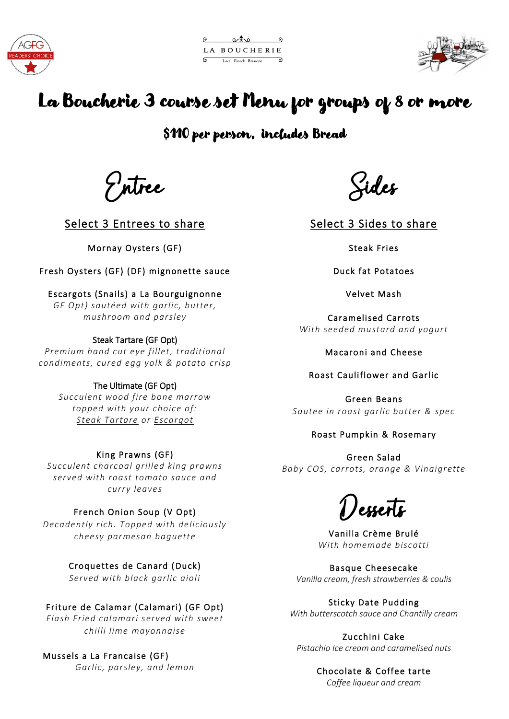



# La Boucherie 3 course set Menu for groups of 8 or more

\$110 per person, includes Bread

Entree

Select 3 Entrees to share

Mornay Oysters (GF)

Fresh Oysters (GF) (DF) mignonette sauce

Escargots (Snails) a La Bourguignonne *GF Opt) sautéed with garlic, butter, mushroom and parsley*

# Steak Tartare (GF Opt)

*Premium hand cut eye fillet, traditional condiments, cured egg yolk & potato crisp*

# The Ultimate (GF Opt)

*Succulent wood fire bone marrow topped with your choice of: Steak Tartare or Escargot*

# King Prawns (GF)

*Succulent charcoal grilled king prawns served with roast tomato sauce and curry leaves*

# French Onion Soup (V Opt)

*Decadently rich. Topped with deliciously cheesy parmesan baguette* 

Croquettes de Canard (Duck)

*Served with black garlic aioli* 

# Friture de Calamar (Calamari) (GF Opt)

*Flash Fried calamari served with sweet chilli lime mayonnaise*

# Mussels a La Francaise (GF)

*Garlic, parsley, and lemon*

Sides

Select 3 Sides to share

Steak Fries

Duck fat Potatoes

Velvet Mash

Caramelised Carrots *With seeded mustard and yogurt*

Macaroni and Cheese

## Roast Cauliflower and Garlic

Green Beans *Sautee in roast garlic butter & spec*

# Roast Pumpkin & Rosemary

Green Salad *Baby COS, carrots, orange & Vinaigrette* 

Desserts

Vanilla Crème Brulé *With homemade biscotti*

Basque Cheesecake *Vanilla cream, fresh strawberries & coulis*

Sticky Date Pudding *With butterscotch sauce and Chantilly cream*

Zucchini Cake *Pistachio Ice cream and caramelised nuts*

Chocolate & Coffee tarte

*Coffee liqueur and cream*